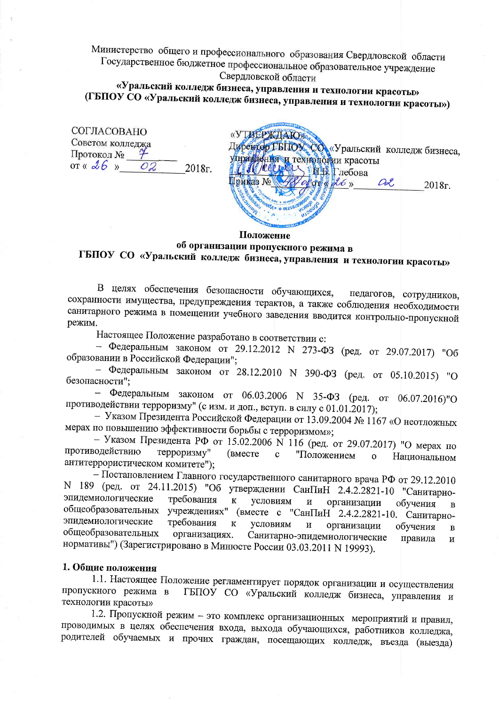Министерство общего и профессионального образования Свердловской области Государственное бюджетное профессиональное образовательное учреждение Свердловской области

«Уральский колледж бизнеса, управления и технологии красоты» (ГБПОУ СО «Уральский колледж бизнеса, управления и технологии красоты»)

| <b>COLLACOBAHO</b> |    |        |
|--------------------|----|--------|
| Советом колледжа   |    |        |
| Протокол №         |    |        |
| or « $26$ »        | 09 | 2018r. |
|                    |    |        |

| к <sup>«Уральский колледж бизнеса,</sup> |
|------------------------------------------|
| догии красоты<br>лебова                  |
| Œ<br>2018г.                              |
|                                          |
|                                          |
|                                          |

Положение

# об организации пропускного режима в ГБПОУ СО «Уральский колледж бизнеса, управления и технологии красоты»

В целях обеспечения безопасности обучающихся, педагогов, сотрудников, сохранности имущества, предупреждения терактов, а также соблюдения необходимости санитарного режима в помещении учебного заведения вводится контрольно-пропускной режим.

Настоящее Положение разработано в соответствии с:

- Федеральным законом от 29.12.2012 N 273-ФЗ (ред. от 29.07.2017) "Об образовании в Российской Федерации":

- Федеральным законом от 28.12.2010 N 390-ФЗ (ред. от 05.10.2015) "О безопасности";

- Федеральным законом от 06.03.2006 N 35-ФЗ (ред. от 06.07.2016)"О противодействии терроризму" (с изм. и доп., вступ. в силу с 01.01.2017);

- Указом Президента Российской Федерации от 13.09.2004 № 1167 «О неотложных мерах по повышению эффективности борьбы с терроризмом»;

- Указом Президента РФ от 15.02.2006 N 116 (ред. от 29.07.2017) "О мерах по противодействию терроризму" (вместе  $\mathbf{c}$ "Положением  $\mathbf{o}$ Национальном антитеррористическом комитете");

– Постановлением Главного государственного санитарного врача РФ от 29.12.2010 N 189 (ред. от 24.11.2015) "Об утверждении СанПиН 2.4.2.2821-10 "Санитарноэпидемиологические требования  $\mathbf K$ условиям  $\mathbf{M}$ организации обучения  $\overline{B}$ общеобразовательных учреждениях" (вместе с "СанПиН 2.4.2.2821-10. Санитарноэпидемиологические требования  $\bf K$ условиям  $\overline{M}$ организации обучения  $\overline{B}$ общеобразовательных организациях. Санитарно-эпидемиологические правила  $\mathbf H$ нормативы") (Зарегистрировано в Минюсте России 03.03.2011 N 19993).

### 1. Общие положения

1.1. Настоящее Положение регламентирует порядок организации и осуществления пропускного режима в ГБПОУ СО «Уральский колледж бизнеса, управления и технологии красоты»

1.2. Пропускной режим - это комплекс организационных мероприятий и правил, проводимых в целях обеспечения входа, выхода обучающихся, работников колледжа, родителей обучаемых и прочих граждан, посещающих колледж, въезда (выезда)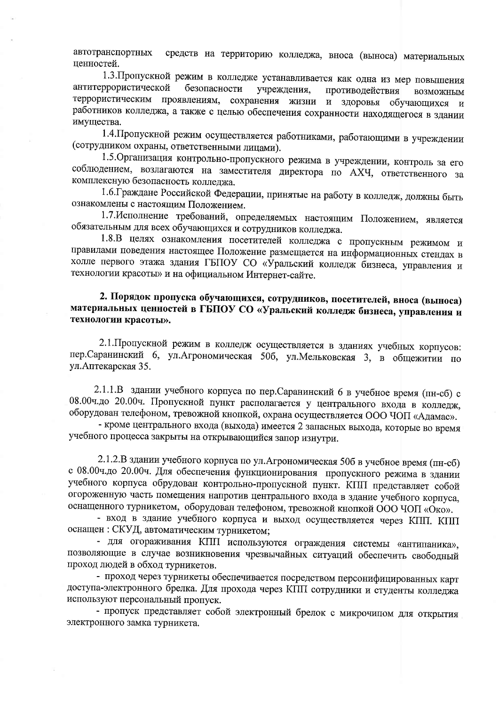средств на территорию колледжа, вноса (выноса) материальных автотранспортных ценностей.

1.3. Пропускной режим в колледже устанавливается как одна из мер повышения антитеррористической безопасности учреждения, противодействия возможным террористическим проявлениям, сохранения жизни и здоровья обучающихся И работников колледжа, а также с целью обеспечения сохранности находящегося в здании имущества.

1.4. Пропускной режим осуществляется работниками, работающими в учреждении (сотрудником охраны, ответственными лицами).

1.5. Организация контрольно-пропускного режима в учреждении, контроль за его соблюдением, возлагаются на заместителя директора по АХЧ, ответственного за комплексную безопасность колледжа.

1.6. Граждане Российской Федерации, принятые на работу в колледж, должны быть ознакомлены с настоящим Положением.

1.7. Исполнение требований, определяемых настоящим Положением, является обязательным для всех обучающихся и сотрудников колледжа.

1.8.В целях ознакомления посетителей колледжа с пропускным режимом и правилами поведения настоящее Положение размещается на информационных стендах в холле первого этажа здания ГБПОУ СО «Уральский колледж бизнеса, управления и технологии красоты» и на официальном Интернет-сайте.

## 2. Порядок пропуска обучающихся, сотрудников, посетителей, вноса (выноса) материальных ценностей в ГБПОУ СО «Уральский колледж бизнеса, управления и технологии красоты».

2.1. Пропускной режим в колледж осуществляется в зданиях учебных корпусов: пер. Саранинский 6, ул. Агрономическая 506, ул. Мельковская 3, в общежитии по ул. Аптекарская 35.

2.1.1.В здании учебного корпуса по пер. Саранинский 6 в учебное время (пн-сб) с 08.00ч.до 20.00ч. Пропускной пункт располагается у центрального входа в колледж, оборудован телефоном, тревожной кнопкой, охрана осуществляется ООО ЧОП «Адамас».

- кроме центрального входа (выхода) имеется 2 запасных выхода, которые во время учебного процесса закрыты на открывающийся запор изнутри.

2.1.2.В здании учебного корпуса по ул. Агрономическая 50б в учебное время (пн-сб) с 08.00ч.до 20.00ч. Для обеспечения функционирования пропускного режима в здании учебного корпуса обрудован контрольно-пропускной пункт. КПП представляет собой огороженную часть помещения напротив центрального входа в здание учебного корпуса, оснащенного турникетом, оборудован телефоном, тревожной кнопкой ООО ЧОП «Око».

- вход в здание учебного корпуса и выход осуществляется через КПП. КПП оснащен: СКУД, автоматическим турникетом;

- для огораживания КПП используются ограждения системы «антипаника», позволяющие в случае возникновения чрезвычайных ситуаций обеспечить свободный проход людей в обход турникетов.

- проход через турникеты обеспечивается посредством персонифицированных карт доступа-электронного брелка. Для прохода через КПП сотрудники и студенты колледжа используют персональный пропуск.

- пропуск представляет собой электронный брелок с микрочипом для открытия электронного замка турникета.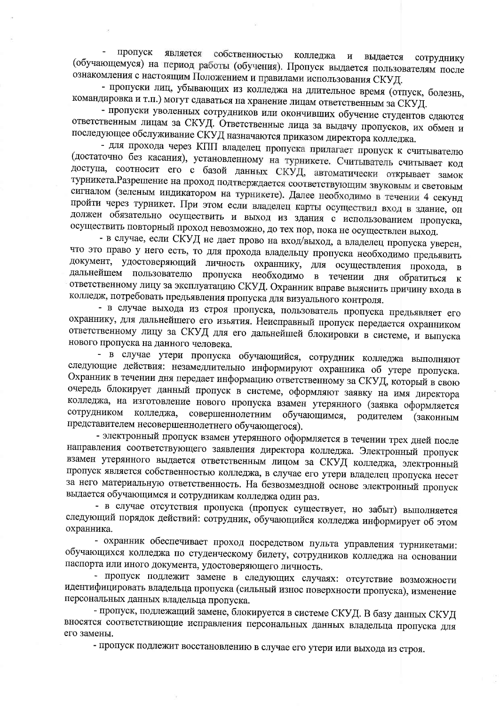пропуск является собственностью колледжа и  $\overline{a}$ выдается сотруднику (обучающемуся) на период работы (обучения). Пропуск выдается пользователям после ознакомления с настоящим Положением и правилами использования СКУД.

- пропуски лиц, убывающих из колледжа на длительное время (отпуск, болезнь, командировка и т.п.) могут сдаваться на хранение лицам ответственным за СКУД.

- пропуски уволенных сотрудников или окончивших обучение студентов сдаются ответственным лицам за СКУД. Ответственные лица за выдачу пропусков, их обмен и последующее обслуживание СКУД назначаются приказом директора колледжа.

- для прохода через КПП владелец пропуска прилагает пропуск к считывателю (достаточно без касания), установленному на турникете. Считыватель считывает код доступа, соотносит его с базой данных СКУД, автоматически открывает замок турникета. Разрешение на проход подтверждается соответствующим звуковым и световым сигналом (зеленым индикатором на турникете). Далее необходимо в течении 4 секунд пройти через турникет. При этом если владелец карты осуществил вход в здание, он должен обязательно осуществить и выход из здания с использованием пропуска, осуществить повторный проход невозможно, до тех пор, пока не осуществлен выход.

- в случае, если СКУД не дает прово на вход/выход, а владелец пропуска уверен, что это право у него есть, то для прохода владельцу пропуска необходимо предьявить документ, удостоверяющий личность охраннику, для осуществления прохода,  $\mathbf{B}$ дальнейшем пользователю пропуска необходимо в течении дня обратиться к ответственному лицу за эксплуатацию СКУД. Охранник вправе выяснить причину входа в колледж, потребовать предьявления пропуска для визуального контроля.

- в случае выхода из строя пропуска, пользователь пропуска предъявляет его охраннику, для дальнейшего его изьятия. Неисправный пропуск передается охранником ответственному лицу за СКУД для его дальнейшей блокировки в системе, и выпуска нового пропуска на данного человека.

- в случае утери пропуска обучающийся, сотрудник колледжа выполняют следующие действия: незамедлительно информируют охранника об утере пропуска. Охранник в течении дня передает информацию ответственному за СКУД, который в свою очередь блокирует данный пропуск в системе, оформляют заявку на имя директора колледжа, на изготовление нового пропуска взамен утерянного (заявка оформляется сотрудником колледжа, совершеннолетним обучающимся, родителем (законным представителем несовершеннолетнего обучающегося).

- электронный пропуск взамен утерянного оформляется в течении трех дней после направления соответствующего заявления директора колледжа. Электронный пропуск взамен утерянного выдается ответственным лицом за СКУД колледжа, электронный пропуск является собственностью колледжа, в случае его утери владелец пропуска несет за него материальную ответственность. На безвозмездной основе электронный пропуск выдается обучающимся и сотрудникам колледжа один раз.

- в случае отсутствия пропуска (пропуск существует, но забыт) выполняется следующий порядок действий: сотрудник, обучающийся колледжа информирует об этом охранника.

- охранник обеспечивает проход посредством пульта управления турникетами: обучающихся колледжа по студенческому билету, сотрудников колледжа на основании паспорта или иного документа, удостоверяющего личность.

- пропуск подлежит замене в следующих случаях: отсутствие возможности идентифицировать владельца пропуска (сильный износ поверхности пропуска), изменение персональных данных владельца пропуска.

- пропуск, подлежащий замене, блокируется в системе СКУД. В базу данных СКУД вносятся соответствиющие исправления персональных данных владельца пропуска для его замены.

- пропуск подлежит восстановлению в случае его утери или выхода из строя.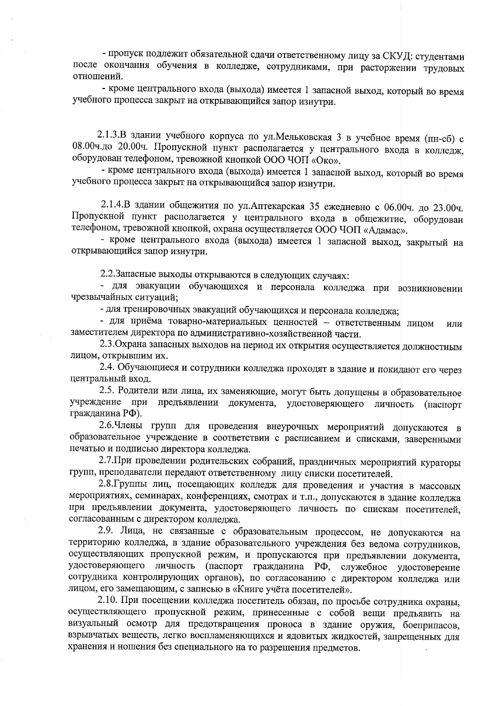- пропуск подлежит обязательной сдачи ответственному лицу за СКУД: студентами после окончания обучения в колледже, сотрудниками, при расторжении трудовых отношений.

- кроме центрального входа (выхода) имеется 1 запасной выход, который во время учебного процесса закрыт на открывающийся запор изнутри.

2.1.3.В здании учебного корпуса по ул. Мельковская 3 в учебное время (пн-сб) с 08.00ч.до 20.00ч. Пропускной пункт располагается у центрального входа в колледж, оборудован телефоном, тревожной кнопкой ООО ЧОП «Око».

- кроме центрального входа (выхода) имеется 1 запасной выход, который во время учебного процесса закрыт на открывающийся запор изнутри.

2.1.4.В здании общежития по ул.Аптекарская 35 ежедневно с 06.00ч. до 23.00ч. Пропускной пункт располагается у центрального входа в общежитие, оборудован телефоном, тревожной кнопкой, охрана осуществляется ООО ЧОП «Адамас».

- кроме центрального входа (выхода) имеется 1 запасной выход, закрытый на открывающийся запор изнутри.

2.2. Запасные выходы открываются в следующих случаях:

- для эвакуации обучающихся и персонала колледжа при возникновении чрезвычайных ситуаций;

- для тренировочных эвакуаций обучающихся и персонала колледжа;

- для приёма товарно-материальных ценностей - ответственным лицом или заместителем директора по административно-хозяйственной части.

2.3. Охрана запасных выходов на период их открытия осуществляется должностным ЛИЦОМ, ОТКРЫВШИМ ИХ.

2.4. Обучающиеся и сотрудники колледжа проходят в здание и покидают его через центральный вход.

2.5. Родители или лица, их заменяющие, могут быть допущены в образовательное учреждение при предъявлении документа, удостоверяющего личность (паспорт гражданина РФ).

2.6. Члены групп для проведения внеурочных мероприятий допускаются в образовательное учреждение в соответствии с расписанием и списками, заверенными печатью и подписью директора колледжа.

2.7. При проведении родительских собраний, праздничных мероприятий кураторы групп, преподаватели передают ответственному лицу списки посетителей.

2.8. Группы лиц, посещающих колледж для проведения и участия в массовых мероприятиях, семинарах, конференциях, смотрах и т.п., допускаются в здание колледжа при предъявлении документа, удостоверяющего личность по спискам посетителей, согласованным с директором колледжа.

2.9. Лица, не связанные с образовательным процессом, не допускаются на территорию колледжа, в здание образовательного учреждения без ведома сотрудников, осуществляющих пропускной режим, и пропускаются при предъявлении документа, удостоверяющего личность (паспорт гражданина РФ, служебное удостоверение сотрудника контролирующих органов), по согласованию с директором колледжа или лицом, его замещающим, с записью в «Книге учёта посетителей».

2.10. При посещении колледжа посетитель обязан, по просьбе сотрудника охраны, осуществляющего пропускной режим, принесенные с собой вещи предъявить на визуальный осмотр для предотвращения проноса в здание оружия, боеприпасов, взрывчатых веществ, легко воспламеняющихся и ядовитых жидкостей, запрещенных для хранения и ношения без специального на то разрешения предметов.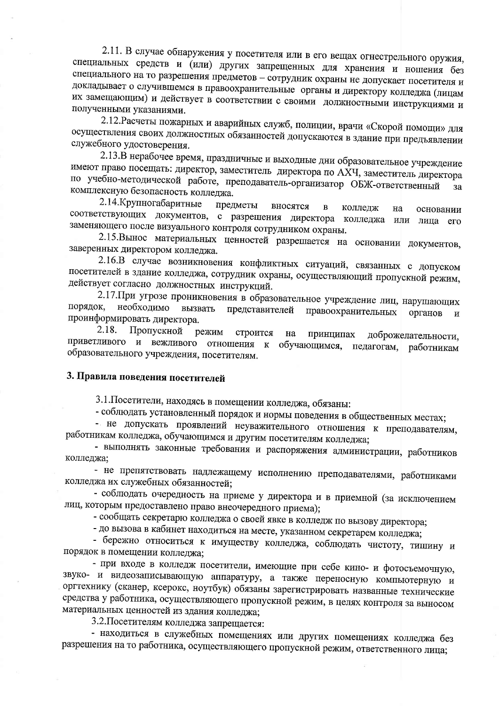2.11. В случае обнаружения у посетителя или в его вещах огнестрельного оружия, специальных средств и (или) других запрещенных для хранения и ношения без специального на то разрешения предметов - сотрудник охраны не допускает посетителя и докладывает о случившемся в правоохранительные органы и директору колледжа (лицам их замещающим) и действует в соответствии с своими должностными инструкциями и полученными указаниями.

2.12. Расчеты пожарных и аварийных служб, полиции, врачи «Скорой помощи» для осуществления своих должностных обязанностей допускаются в здание при предъявлении служебного удостоверения.

2.13.В нерабочее время, праздничные и выходные дни образовательное учреждение имеют право посещать: директор, заместитель директора по АХЧ, заместитель директора по учебно-методической работе, преподаватель-организатор ОБЖ-ответственный  $3a$ комплексную безопасность колледжа.

2.14. Крупногабаритные предметы вносятся  $\, {\bf B}$ колледж Ha основании соответствующих документов, с разрешения директора колледжа или лица его заменяющего после визуального контроля сотрудником охраны.

2.15. Вынос материальных ценностей разрешается на основании документов, заверенных директором колледжа.

2.16.В случае возникновения конфликтных ситуаций, связанных с допуском посетителей в здание колледжа, сотрудник охраны, осуществляющий пропускной режим, действует согласно должностных инструкций.

2.17. При угрозе проникновения в образовательное учреждение лиц, нарушающих порядок, необходимо вызвать представителей правоохранительных органов И проинформировать директора.

2.18. Пропускной режим строится на принципах доброжелательности, приветливого и вежливого отношения к обучающимся, педагогам, работникам образовательного учреждения, посетителям.

## 3. Правила поведения посетителей

3.1. Посетители, находясь в помещении колледжа, обязаны:

- соблюдать установленный порядок и нормы поведения в общественных местах;

- не допускать проявлений неуважительного отношения к преподавателям, работникам колледжа, обучающимся и другим посетителям колледжа;

- выполнять законные требования и распоряжения администрации, работников колледжа;

- не препятствовать надлежащему исполнению преподавателями, работниками колледжа их служебных обязанностей;

- соблюдать очередность на приеме у директора и в приемной (за исключением лиц, которым предоставлено право внеочередного приема);

- сообщать секретарю колледжа о своей явке в колледж по вызову директора;

- до вызова в кабинет находиться на месте, указанном секретарем колледжа;

- бережно относиться к имуществу колледжа, соблюдать чистоту, тишину и порядок в помещении колледжа;

- при входе в колледж посетители, имеющие при себе кино- и фотосъемочную, звуко- и видеозаписывающую аппаратуру, а также переносную компьютерную и оргтехнику (сканер, ксерокс, ноутбук) обязаны зарегистрировать названные технические средства у работника, осуществляющего пропускной режим, в целях контроля за выносом материальных ценностей из здания колледжа;

3.2. Посетителям колледжа запрещается:

- находиться в служебных помещениях или других помещениях колледжа без разрешения на то работника, осуществляющего пропускной режим, ответственного лица;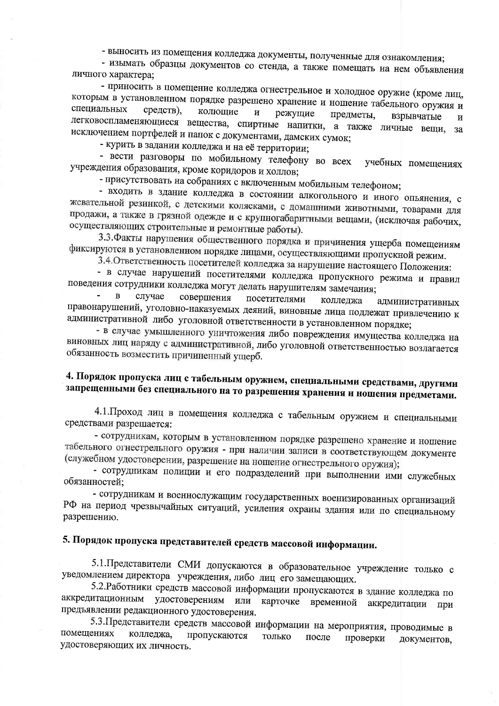- выносить из помещения колледжа документы, полученные для ознакомления;

- изымать образцы документов со стенда, а также помещать на нем объявления личного характера;

- приносить в помещение колледжа огнестрельное и холодное оружие (кроме лиц, которым в установленном порядке разрешено хранение и ношение табельного оружия и специальных средств). колющие  $\boldsymbol{\mathrm{H}}$ режущие предметы, взрывчатые легковоспламеняющиеся вещества, спиртные напитки, а также личные вещи,  $\overline{\mathbf{M}}$ за исключением портфелей и папок с документами, дамских сумок;

- курить в задании колледжа и на её территории;

- вести разговоры по мобильному телефону во всех учебных помещениях учреждения образования, кроме коридоров и холлов;

- присутствовать на собраниях с включенным мобильным телефоном;

- входить в здание колледжа в состоянии алкогольного и иного опьянения, с жевательной резинкой, с детскими колясками, с домашними животными, товарами для продажи, а также в грязной одежде и с крупногабаритными вещами, (исключая рабочих, осуществляющих строительные и ремонтные работы).

3.3. Факты нарушения общественного порядка и причинения ущерба помещениям фиксируются в установленном порядке лицами, осуществляющими пропускной режим.

3.4. Ответственность посетителей колледжа за нарушение настоящего Положения:

- в случае нарушений посетителями колледжа пропускного режима и правил поведения сотрудники колледжа могут делать нарушителям замечания;

 $\, {\bf B}$ случае совершения посетителями колледжа административных правонарушений, уголовно-наказуемых деяний, виновные лица подлежат привлечению к административной либо уголовной ответственности в установленном порядке;

- в случае умышленного уничтожения либо повреждения имущества колледжа на виновных лиц наряду с административной, либо уголовной ответственностью возлагается обязанность возместить причиненный ущерб.

# 4. Порядок пропуска лиц с табельным оружием, специальными средствами, другими запрещенными без специального на то разрешения хранения и ношения предметами.

4.1. Проход лиц в помещения колледжа с табельным оружием и специальными средствами разрешается:

- сотрудникам, которым в установленном порядке разрешено хранение и ношение табельного огнестрельного оружия - при наличии записи в соответствующем документе (служебном удостоверении, разрешение на ношение огнестрельного оружия);

- сотрудникам полиции и его подразделений при выполнении ими служебных обязанностей:

- сотрудникам и военнослужащим государственных военизированных организаций РФ на период чрезвычайных ситуаций, усиления охраны здания или по специальному разрешению.

# 5. Порядок пропуска представителей средств массовой информации.

5.1. Представители СМИ допускаются в образовательное учреждение только с уведомлением директора учреждения, либо лиц его замещающих.

5.2. Работники средств массовой информации пропускаются в здание колледжа по аккредитационным удостоверениям или карточке временной аккредитации при предъявлении редакционного удостоверения.

5.3. Представители средств массовой информации на мероприятия, проводимые в помещениях колледжа, пропускаются только после проверки документов. удостоверяющих их личность.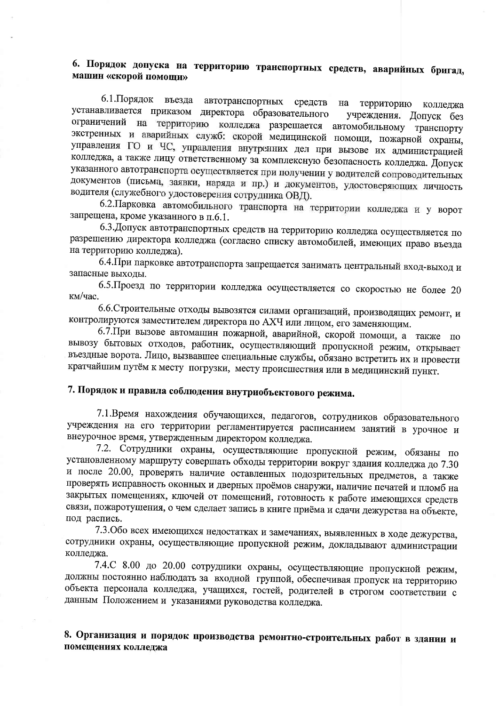# 6. Порядок допуска на территорию транспортных средств, аварийных бригад, машин «скорой помощи»

6.1. Порядок въезда автотранспортных средств на территорию колледжа устанавливается приказом директора образовательного учреждения. Допуск без ограничений на территорию колледжа разрешается автомобильному транспорту экстренных и аварийных служб: скорой медицинской помощи, пожарной охраны, управления ГО и ЧС, управления внутренних дел при вызове их администрацией колледжа, а также лицу ответственному за комплексную безопасность колледжа. Допуск указанного автотранспорта осуществляется при получении у водителей сопроводительных документов (письма, заявки, наряда и пр.) и документов, удостоверяющих личность водителя (служебного удостоверения сотрудника ОВД).

6.2. Парковка автомобильного транспорта на территории колледжа и у ворот запрещена, кроме указанного в п.6.1.

6.3. Допуск автотранспортных средств на территорию колледжа осуществляется по разрешению директора колледжа (согласно списку автомобилей, имеющих право въезда на территорию колледжа).

6.4. При парковке автотранспорта запрещается занимать центральный вход-выход и запасные выхолы.

6.5. Проезд по территории колледжа осуществляется со скоростью не более 20 км/час.

6.6. Строительные отходы вывозятся силами организаций, производящих ремонт, и контролируются заместителем директора по АХЧ или лицом, его заменяющим.

6.7. При вызове автомашин пожарной, аварийной, скорой помощи, а также по вывозу бытовых отходов, работник, осуществляющий пропускной режим, открывает въездные ворота. Лицо, вызвавшее специальные службы, обязано встретить их и провести кратчайшим путём к месту погрузки, месту происшествия или в медицинский пункт.

# 7. Порядок и правила соблюдения внутриобъектового режима.

7.1. Время нахождения обучающихся, педагогов, сотрудников образовательного учреждения на его территории регламентируется расписанием занятий в урочное и внеурочное время, утвержденным директором колледжа.

7.2. Сотрудники охраны, осуществляющие пропускной режим, обязаны по установленному маршруту совершать обходы территории вокруг здания колледжа до 7.30 и после 20.00, проверять наличие оставленных подозрительных предметов, а также проверять исправность оконных и дверных проёмов снаружи, наличие печатей и пломб на закрытых помещениях, ключей от помещений, готовность к работе имеющихся средств связи, пожаротушения, о чем сделает запись в книге приёма и сдачи дежурства на объекте, под распись.

7.3. Обо всех имеющихся недостатках и замечаниях, выявленных в ходе дежурства, сотрудники охраны, осуществляющие пропускной режим, докладывают администрации колледжа.

7.4.С 8.00 до 20.00 сотрудники охраны, осуществляющие пропускной режим, должны постоянно наблюдать за входной группой, обеспечивая пропуск на территорию объекта персонала колледжа, учащихся, гостей, родителей в строгом соответствии с данным Положением и указаниями руководства колледжа.

8. Организация и порядок производства ремонтно-строительных работ в здании и помещениях колледжа